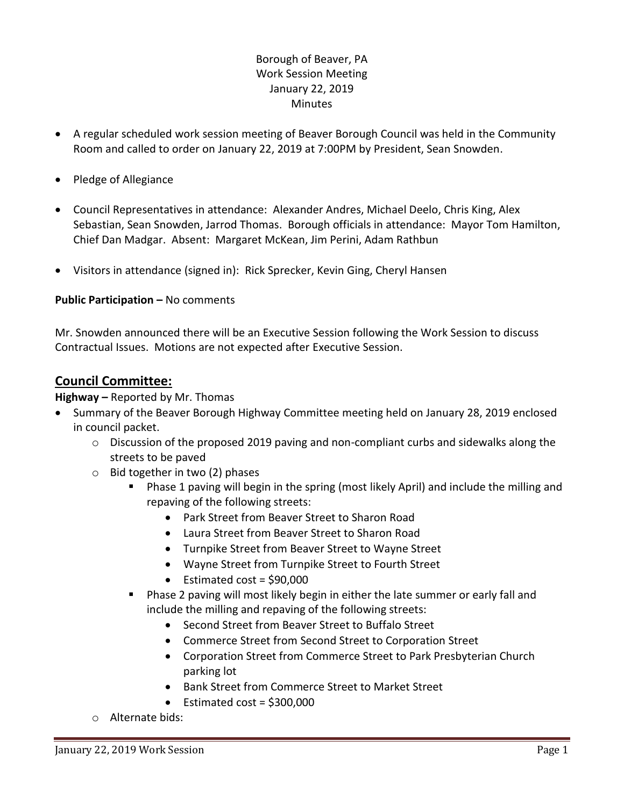# Borough of Beaver, PA Work Session Meeting January 22, 2019 **Minutes**

- A regular scheduled work session meeting of Beaver Borough Council was held in the Community Room and called to order on January 22, 2019 at 7:00PM by President, Sean Snowden.
- Pledge of Allegiance
- Council Representatives in attendance: Alexander Andres, Michael Deelo, Chris King, Alex Sebastian, Sean Snowden, Jarrod Thomas. Borough officials in attendance: Mayor Tom Hamilton, Chief Dan Madgar. Absent: Margaret McKean, Jim Perini, Adam Rathbun
- Visitors in attendance (signed in): Rick Sprecker, Kevin Ging, Cheryl Hansen

#### **Public Participation –** No comments

Mr. Snowden announced there will be an Executive Session following the Work Session to discuss Contractual Issues. Motions are not expected after Executive Session.

## **Council Committee:**

#### **Highway –** Reported by Mr. Thomas

- Summary of the Beaver Borough Highway Committee meeting held on January 28, 2019 enclosed in council packet.
	- $\circ$  Discussion of the proposed 2019 paving and non-compliant curbs and sidewalks along the streets to be paved
	- $\circ$  Bid together in two (2) phases
		- Phase 1 paving will begin in the spring (most likely April) and include the milling and repaving of the following streets:
			- Park Street from Beaver Street to Sharon Road
			- Laura Street from Beaver Street to Sharon Road
			- Turnpike Street from Beaver Street to Wayne Street
			- Wayne Street from Turnpike Street to Fourth Street
			- $\bullet$  Estimated cost = \$90,000
		- Phase 2 paving will most likely begin in either the late summer or early fall and include the milling and repaving of the following streets:
			- Second Street from Beaver Street to Buffalo Street
			- Commerce Street from Second Street to Corporation Street
			- Corporation Street from Commerce Street to Park Presbyterian Church parking lot
			- Bank Street from Commerce Street to Market Street
			- $\bullet$  Estimated cost = \$300,000
	- o Alternate bids: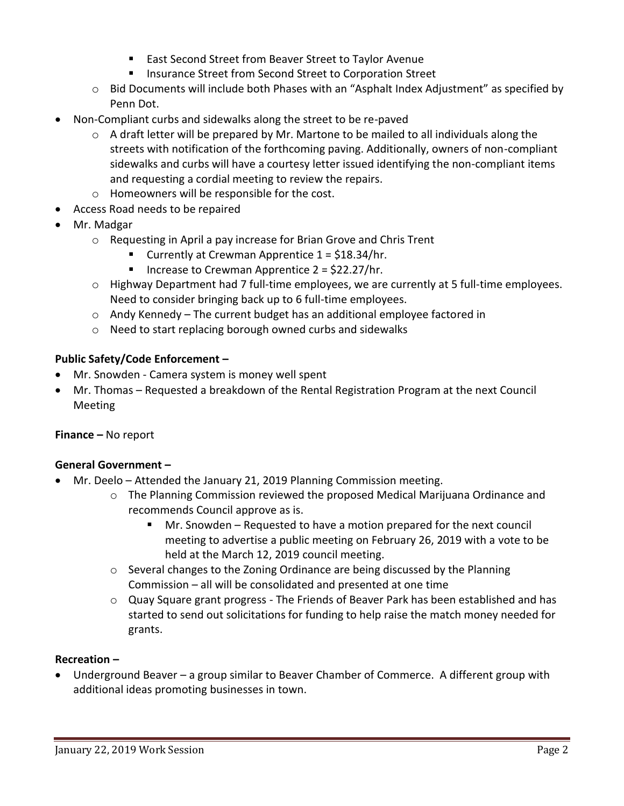- East Second Street from Beaver Street to Taylor Avenue
- **Insurance Street from Second Street to Corporation Street**
- $\circ$  Bid Documents will include both Phases with an "Asphalt Index Adjustment" as specified by Penn Dot.
- Non-Compliant curbs and sidewalks along the street to be re-paved
	- o A draft letter will be prepared by Mr. Martone to be mailed to all individuals along the streets with notification of the forthcoming paving. Additionally, owners of non-compliant sidewalks and curbs will have a courtesy letter issued identifying the non-compliant items and requesting a cordial meeting to review the repairs.
	- o Homeowners will be responsible for the cost.
- Access Road needs to be repaired
- Mr. Madgar
	- o Requesting in April a pay increase for Brian Grove and Chris Trent
		- Currently at Crewman Apprentice  $1 = $18.34/hr$ .
		- Increase to Crewman Apprentice  $2 = \frac{22.27}{hr}$ .
	- o Highway Department had 7 full-time employees, we are currently at 5 full-time employees. Need to consider bringing back up to 6 full-time employees.
	- $\circ$  Andy Kennedy The current budget has an additional employee factored in
	- o Need to start replacing borough owned curbs and sidewalks

#### **Public Safety/Code Enforcement –**

- Mr. Snowden Camera system is money well spent
- Mr. Thomas Requested a breakdown of the Rental Registration Program at the next Council Meeting

#### **Finance –** No report

#### **General Government –**

- Mr. Deelo Attended the January 21, 2019 Planning Commission meeting.
	- o The Planning Commission reviewed the proposed Medical Marijuana Ordinance and recommends Council approve as is.
		- Mr. Snowden Requested to have a motion prepared for the next council meeting to advertise a public meeting on February 26, 2019 with a vote to be held at the March 12, 2019 council meeting.
	- o Several changes to the Zoning Ordinance are being discussed by the Planning Commission – all will be consolidated and presented at one time
	- $\circ$  Quay Square grant progress The Friends of Beaver Park has been established and has started to send out solicitations for funding to help raise the match money needed for grants.

#### **Recreation –**

 Underground Beaver – a group similar to Beaver Chamber of Commerce. A different group with additional ideas promoting businesses in town.